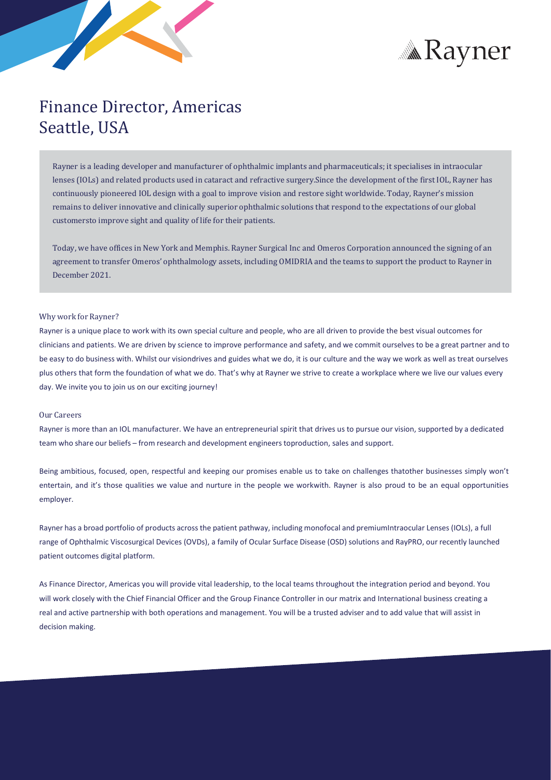



# Finance Director, Americas Seattle, USA

Rayner is a leading developer and manufacturer of ophthalmic implants and pharmaceuticals; it specialises in intraocular lenses (IOLs) and related products used in cataract and refractive surgery.Since the development of the first IOL, Rayner has continuously pioneered IOL design with a goal to improve vision and restore sight worldwide. Today, Rayner's mission remains to deliver innovative and clinically superior ophthalmic solutions that respond to the expectations of our global customersto improve sight and quality of life for their patients.

Today, we have offices in New York and Memphis. Rayner Surgical Inc and Omeros Corporation announced the signing of an agreement to transfer Omeros' ophthalmology assets, including OMIDRIA and the teams to support the product to Rayner in December 2021.

## Why work for Rayner?

Rayner is a unique place to work with its own special culture and people, who are all driven to provide the best visual outcomes for clinicians and patients. We are driven by science to improve performance and safety, and we commit ourselves to be a great partner and to be easy to do business with. Whilst our visiondrives and guides what we do, it is our culture and the way we work as well as treat ourselves plus others that form the foundation of what we do. That's why at Rayner we strive to create a workplace where we live our values every day. We invite you to join us on our exciting journey!

### Our Careers

Rayner is more than an IOL manufacturer. We have an entrepreneurial spirit that drives us to pursue our vision, supported by a dedicated team who share our beliefs – from research and development engineerstoproduction, sales and support.

Being ambitious, focused, open, respectful and keeping our promises enable us to take on challenges thatother businesses simply won't entertain, and it's those qualities we value and nurture in the people we workwith. Rayner is also proud to be an equal opportunities employer.

Rayner has a broad portfolio of products acrossthe patient pathway, including monofocal and premiumIntraocular Lenses (IOLs), a full range of Ophthalmic Viscosurgical Devices (OVDs), a family of Ocular Surface Disease (OSD) solutions and RayPRO, our recently launched patient outcomes digital platform.

As Finance Director, Americas you will provide vital leadership, to the local teams throughout the integration period and beyond. You will work closely with the Chief Financial Officer and the Group Finance Controller in our matrix and International business creating a real and active partnership with both operations and management. You will be a trusted adviser and to add value that will assist in decision making.